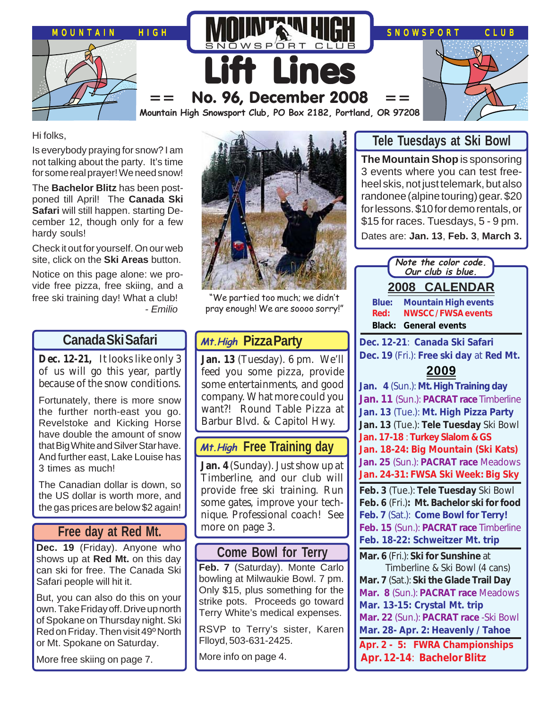

Hi folks,

Is everybody praying for snow? I am not talking about the party. It's time for some real prayer! We need snow!

The **Bachelor Blitz** has been postponed till April! The **Canada Ski Safari** will still happen. starting December 12, though only for a few hardy souls!

Check it out for yourself. On our web site, click on the **Ski Areas** button.

Notice on this page alone: we provide free pizza, free skiing, and a free ski training day! What a club! - Emilio

#### **Canada Ski Safari**

**Dec. 12-21,** It looks like only 3 of us will go this year, partly because of the snow conditions.

Fortunately, there is more snow the further north-east you go. Revelstoke and Kicking Horse have double the amount of snow that Big White and Silver Star have. And further east, Lake Louise has 3 times as much!

The Canadian dollar is down, so the US dollar is worth more, and the gas prices are below \$2 again!

#### **Free day at Red Mt.**

**Dec. 19** (Friday). Anyone who shows up at **Red Mt.** on this day can ski for free. The Canada Ski Safari people will hit it.

But, you can also do this on your own. Take Friday off. Drive up north of Spokane on Thursday night. Ski Red on Friday. Then visit 49º North or Mt. Spokane on Saturday.

More free skiing on page 7.



"We partied too much; we didn't pray enough! We are soooo sorry!"

#### **Pizza Party Mt.High**

**Jan. 13** (Tuesday). 6 pm. We'll feed you some pizza, provide some entertainments, and good company. What more could you want?! Round Table Pizza at Barbur Blvd. & Capitol Hwy.

### *Mt.High* Free Training day

**Jan. 4** (Sunday). Just show up at Timberline, and our club will provide free ski training. Run some gates, improve your technique. Professional coach! See more on page 3.

### **Come Bowl for Terry**

**Feb. 7** (Saturday). Monte Carlo bowling at Milwaukie Bowl. 7 pm. Only \$15, plus something for the strike pots. Proceeds go toward Terry White's medical expenses.

RSVP to Terry's sister, Karen Flloyd, 503-631-2425.

More info on page 4.

### **Tele Tuesdays at Ski Bowl**

**The Mountain Shop** is sponsoring 3 events where you can test freeheel skis, not just telemark, but also randonee (alpine touring) gear. \$20 for lessons. \$10 for demo rentals, or \$15 for races. Tuesdays, 5 - 9 pm. Dates are: **Jan. 13**, **Feb. 3**, **March 3.**

| Note the color code.                                                     |
|--------------------------------------------------------------------------|
| Our club is blue.                                                        |
| <b>2008 CALENDAR</b>                                                     |
| Blue:<br><b>Mountain High events</b>                                     |
| <b>NWSCC/FWSA events</b><br>Red:                                         |
| <b>Black:</b> General events                                             |
| Dec. 12-21: Canada Ski Safari                                            |
| Dec. 19 (Fri.): Free ski day at Red Mt.                                  |
| 2009                                                                     |
| Jan. 4 (Sun.): Mt. High Training day                                     |
| Jan. 11 (Sun.): PACRAT race Timberline                                   |
| Jan. 13 (Tue.): Mt. High Pizza Party                                     |
| Jan. 13 (Tue.): Tele Tuesday Ski Bowl                                    |
| Jan. 17-18: Turkey Slalom & GS                                           |
| Jan. 18-24: Big Mountain (Ski Kats)                                      |
| Jan. 25 (Sun.): PACRAT race Meadows                                      |
| Jan. 24-31: FWSA Ski Week: Big Sky                                       |
| Feb. 3 (Tue.): Tele Tuesday Ski Bowl                                     |
| Feb. 6 (Fri.): Mt. Bachelor ski for food                                 |
| Feb. 7 (Sat.): Come Bowl for Terry!                                      |
| Feb. 15 (Sun.): PACRAT race Timberline                                   |
| Feb. 18-22: Schweitzer Mt. trip                                          |
| Mar. 6 (Fri.): Ski for Sunshine at                                       |
| Timberline & Ski Bowl (4 cans)<br>Mar. 7 (Sat.): Ski the Glade Trail Day |
| Mar. 8 (Sun.): PACRAT race Meadows                                       |
| Mar. 13-15: Crystal Mt. trip                                             |
| Mar. 22 (Sun.): PACRAT race -Ski Bowl                                    |
| Mar. 28- Apr. 2: Heavenly / Tahoe                                        |
| Apr. 2 - 5: FWRA Championships                                           |
| Apr. 12-14: Bachelor Blitz                                               |
|                                                                          |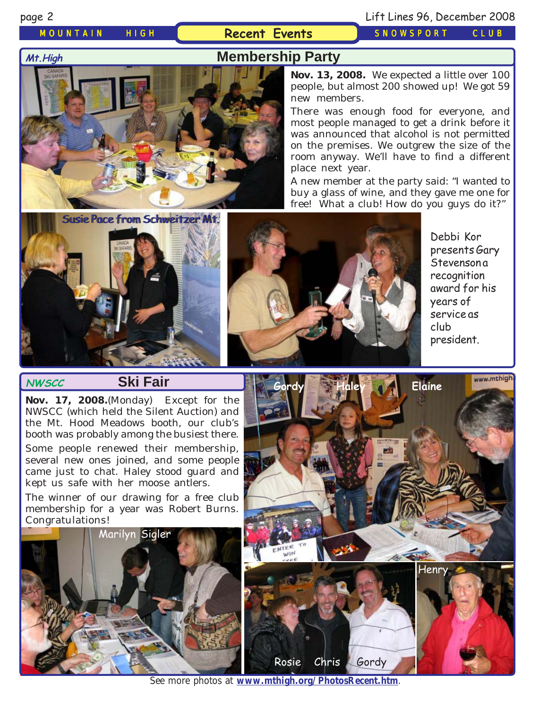#### *MOUNTAIN HIGH* **Recent Events** *SNOWSPORT CLUB*

## page 2 Lift Lines 96, December 2008

 **Membership Party**



**Nov. 13, 2008.** We expected a little over 100 people, but almost 200 showed up! We got 59 new members.

There was enough food for everyone, and most people managed to get a drink before it was announced that alcohol is not permitted on the premises. We outgrew the size of the room anyway. We'll have to find a different place next year.

A new member at the party said: "I wanted to buy a glass of wine, and they gave me one for free! What a club! How do you guys do it?"





Debbi Kor presents Gary **Stevenson a** recognition award for his years of service as club president.

#### **Ski Fair**

**Nov. 17, 2008.**(Monday) Except for the NWSCC (which held the Silent Auction) and the Mt. Hood Meadows booth, our club's booth was probably among the busiest there. Some people renewed their membership, several new ones joined, and some people came just to chat. Haley stood guard and kept us safe with her moose antlers.

The winner of our drawing for a free club membership for a year was Robert Burns. Congratulations!





See more photos at **[www.mthigh.org/PhotosRecent.htm](http://www.mthigh.org/PhotosRecent.htm)**.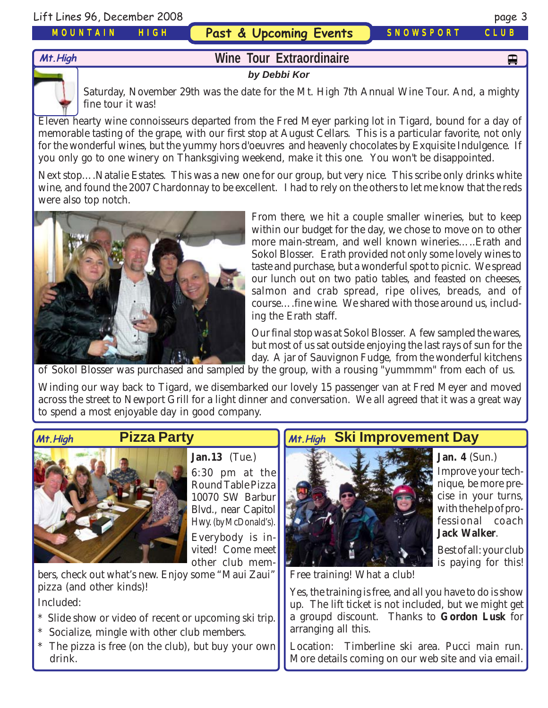*MOUNTAIN HIGH*

**Past & Upcoming Events** *SNOWSPORT CLUB*

## **Mt.High Wine Tour Extraordinaire**

#### **by Debbi Kor**



Saturday, November 29th was the date for the Mt. High 7th Annual Wine Tour. And, a mighty fine tour it was!

Eleven hearty wine connoisseurs departed from the Fred Meyer parking lot in Tigard, bound for a day of memorable tasting of the grape, with our first stop at August Cellars. This is a particular favorite, not only for the wonderful wines, but the yummy hors d'oeuvres and heavenly chocolates by Exquisite Indulgence. If you only go to one winery on Thanksgiving weekend, make it this one. You won't be disappointed.

Next stop….Natalie Estates. This was a new one for our group, but very nice. This scribe only drinks white wine, and found the 2007 Chardonnay to be excellent. I had to rely on the others to let me know that the reds were also top notch.



From there, we hit a couple smaller wineries, but to keep within our budget for the day, we chose to move on to other more main-stream, and well known wineries…..Erath and Sokol Blosser. Erath provided not only some lovely wines to taste and purchase, but a wonderful spot to picnic. We spread our lunch out on two patio tables, and feasted on cheeses, salmon and crab spread, ripe olives, breads, and of course….fine wine. We shared with those around us, including the Erath staff.

Our final stop was at Sokol Blosser. A few sampled the wares, but most of us sat outside enjoying the last rays of sun for the day. A jar of Sauvignon Fudge, from the wonderful kitchens

of Sokol Blosser was purchased and sampled by the group, with a rousing "yummmm" from each of us.

Winding our way back to Tigard, we disembarked our lovely 15 passenger van at Fred Meyer and moved across the street to Newport Grill for a light dinner and conversation. We all agreed that it was a great way to spend a most enjoyable day in good company.





**Jan.13** (Tue.) 6:30 pm at the Round Table Pizza 10070 SW Barbur Blvd., near Capitol Hwy. (by McDonald's). Everybody is invited! Come meet other club mem-

bers, check out what's new. Enjoy some "Maui Zaui" pizza (and other kinds)!

Included:

- \* Slide show or video of recent or upcoming ski trip.
- Socialize, mingle with other club members.
- The pizza is free (on the club), but buy your own drink.

#### **Mt.High Ski Improvement Day Mt.High**



**Jan. 4** (Sun.) Improve your technique, be more precise in your turns, with the help of professional coach **Jack Walker**.

Best of all: your club is paying for this!

Free training! What a club!

Yes, the training is free, and all you have to do is show up. The lift ticket is not included, but we might get a groupd discount. Thanks to **Gordon Lusk** for arranging all this.

Location: Timberline ski area. Pucci main run. More details coming on our web site and via email.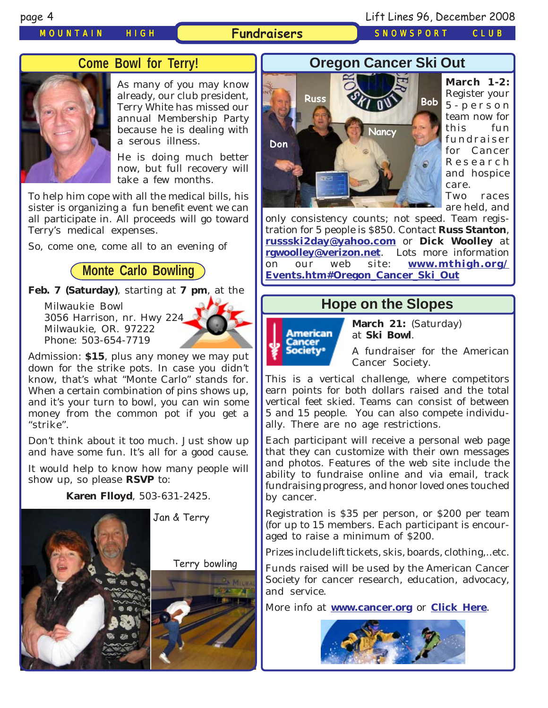#### *MOUNTAIN HIGH* **Fundraisers** *SNOWSPORT CLUB*

page 4 Lift Lines 96, December 2008

### **Come Bowl for Terry!**



As many of you may know already, our club president, Terry White has missed our annual Membership Party because he is dealing with a serous illness.

He is doing much better now, but full recovery will take a few months.

To help him cope with all the medical bills, his sister is organizing a fun benefit event we can all participate in. All proceeds will go toward Terry's medical expenses.

So, come one, come all to an evening of

#### **Monte Carlo Bowling**

**Feb. 7 (Saturday)**, starting at **7 pm**, at the

Milwaukie Bowl 3056 Harrison, nr. Hwy 224 Milwaukie, OR. 97222 Phone: 503-654-7719



Admission: **\$15**, plus any money we may put down for the strike pots. In case you didn't know, that's what "Monte Carlo" stands for. When a certain combination of pins shows up, and it's your turn to bowl, you can win some money from the common pot if you get a "strike".

Don't think about it too much. Just show up and have some fun. It's all for a good cause.

It would help to know how many people will show up, so please **RSVP** to:

**Karen Flloyd**, 503-631-2425.



#### **Oregon Cancer Ski Out**



**March 1-2:** Register your 5-person team now for this fun fundraiser for Cancer Research and hospice care. Two races

are held, and

only consistency counts; not speed. Team registration for 5 people is \$850. Contact **Russ Stanton**, **[russski2day@yahoo.com](mailto:russski2day@yahoo.com)** or **Dick Woolley** at **[rgwoolley@verizon.net](mailto:rgwoolley@verizon.net)**. Lots more information on our web site: **[www.mthigh.org/](http://www.mthigh.org/Events.htm#Oregon_Cancer_Ski_Out) [Events.htm#Oregon\\_Cancer\\_Ski\\_Out](http://www.mthigh.org/Events.htm#Oregon_Cancer_Ski_Out)**

#### **Hope on the Slopes**



**March 21:** (Saturday) at **Ski Bowl**.

A fundraiser for the American Cancer Society.

This is a vertical challenge, where competitors earn points for both dollars raised and the total vertical feet skied. Teams can consist of between 5 and 15 people. You can also compete individually. There are no age restrictions.

Each participant will receive a personal web page that they can customize with their own messages and photos. Features of the web site include the ability to fundraise online and via email, track fundraising progress, and honor loved ones touched by cancer.

Registration is \$35 per person, or \$200 per team (for up to 15 members. Each participant is encouraged to raise a minimum of \$200.

Prizes include lift tickets, skis, boards, clothing,..etc.

Funds raised will be used by the American Cancer Society for cancer research, education, advocacy, and service.

More info at **[www.cancer.org](http://www.cancer.org/)** or **[Click Here](http://www.cancer.org/docroot/COM/content/div_Northwest/COM_5_1x_Hope_on_the_Slopes.asp?sitearea=COM)**.

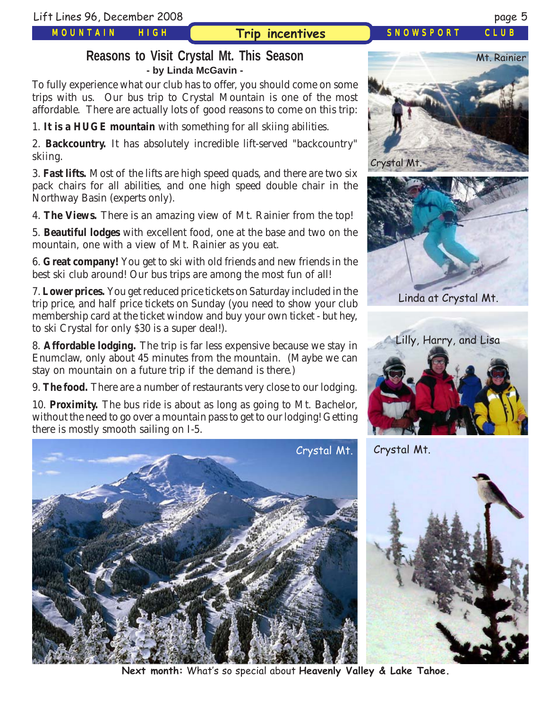*MOUNTAIN HIGH*

### **Reasons to Visit Crystal Mt. This Season - by Linda McGavin -**

To fully experience what our club has to offer, you should come on some trips with us. Our bus trip to Crystal Mountain is one of the most affordable. There are actually lots of good reasons to come on this trip:

1. **It is a HUGE mountain** with something for all skiing abilities.

2. **Backcountry.** It has absolutely incredible lift-served "backcountry" skiing.

3. **Fast lifts.** Most of the lifts are high speed quads, and there are two six pack chairs for all abilities, and one high speed double chair in the Northway Basin (experts only).

4. **The Views.** There is an amazing view of Mt. Rainier from the top!

5. **Beautiful lodges** with excellent food, one at the base and two on the mountain, one with a view of Mt. Rainier as you eat.

6. **Great company!** You get to ski with old friends and new friends in the best ski club around! Our bus trips are among the most fun of all!

7. **Lower prices.** You get reduced price tickets on Saturday included in the trip price, and half price tickets on Sunday (you need to show your club membership card at the ticket window and buy your own ticket - but hey, to ski Crystal for only \$30 is a super deal!).

8. **Affordable lodging.** The trip is far less expensive because we stay in Enumclaw, only about 45 minutes from the mountain. (Maybe we can stay on mountain on a future trip if the demand is there.)

9. **The food.** There are a number of restaurants very close to our lodging.

10. **Proximity.** The bus ride is about as long as going to Mt. Bachelor, without the need to go over a mountain pass to get to our lodging! Getting there is mostly smooth sailing on I-5.



**Next month:** What's so special about **Heavenly Valley & Lake Tahoe.**





Linda at Crystal Mt.





## **Trip incentives** *SNOWSPORT CLUB*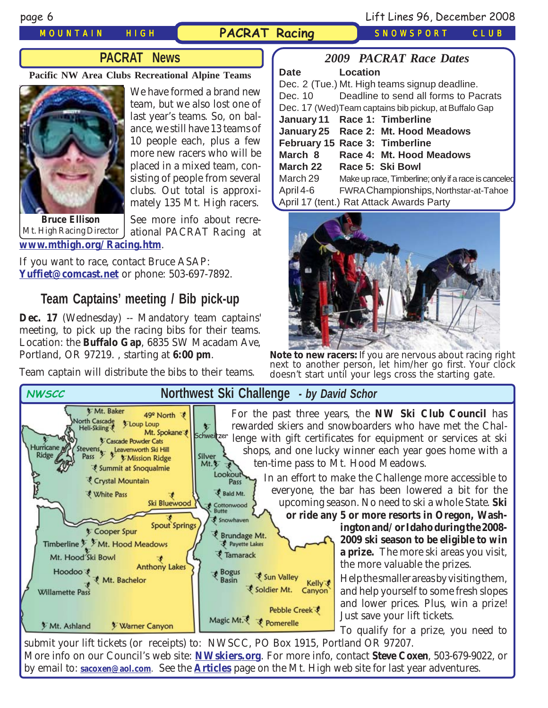#### *MOUNTAIN HIGH* **PACRAT Racing** *SNOWSPORT CLUB*

page 6 Lift Lines 96, December 2008

### **PACRAT News**

**Pacific NW Area Clubs Recreational Alpine Teams**



We have formed a brand new team, but we also lost one of last year's teams. So, on balance, we still have 13 teams of 10 people each, plus a few more new racers who will be placed in a mixed team, consisting of people from several clubs. Out total is approximately 135 Mt. High racers.

**[www.mthigh.org/Racing.htm](http://www.mthigh.org/Racing.htm)**. **Bruce Ellison** Mt. High Racing Director

See more info about recreational PACRAT Racing at

If you want to race, contact Bruce ASAP: **[Yuffiet@comcast.net](mailto:Yuffiet@comcast.net)** or phone: 503-697-7892.

## **Team Captains' meeting / Bib pick-up**

Dec. 17 (Wednesday) -- Mandatory team captains' meeting, to pick up the racing bibs for their teams. Location: the **Buffalo Gap**, 6835 SW Macadam Ave, Portland, OR 97219. , starting at **6:00 pm**.

Team captain will distribute the bibs to their teams.

## *2009 PACRAT Race Dates*

| <b>Date</b> | Location                                               |
|-------------|--------------------------------------------------------|
|             | Dec. 2 (Tue.) Mt. High teams signup deadline.          |
|             | Dec. 10 Deadline to send all forms to Pacrats          |
|             | Dec. 17 (Wed) Team captains bib pickup, at Buffalo Gap |
|             | January 11 Race 1: Timberline                          |
|             | January 25 Race 2: Mt. Hood Meadows                    |
|             | February 15 Race 3: Timberline                         |
| March 8     | Race 4: Mt. Hood Meadows                               |
| March 22    | Race 5: Ski Bowl                                       |
| March 29    | Make up race, Timberline; only if a race is canceled   |
| April 4-6   | FWRA Championships, Northstar-at-Tahoe                 |
|             | April 17 (tent.) Rat Attack Awards Party               |



**Note to new racers:** If you are nervous about racing right next to another person, let him/her go first. Your clock doesn't start until your legs cross the starting gate.



submit your lift tickets (or receipts) to: NWSCC, PO Box 1915, Portland OR 97207. More info on our Council's web site: **[NWskiers.org](http://www.nwskiers.org/)**. For more info, contact **Steve Coxen**, 503-679-9022, or by email to: **[sacoxen@aol.com](mailto:sacoxen@aol.com)**. See the **[Articles](http://www.mthigh.org/Articles.htm)** page on the Mt. High web site for last year adventures.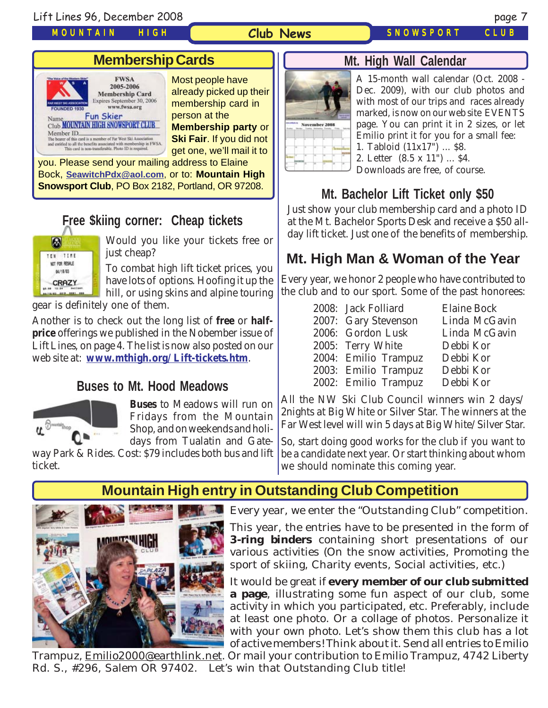#### *MOUNTAIN HIGH*

### **Membership Cards**



Most people have already picked up their membership card in person at the **Membership party** or **Ski Fair**. If you did not get one, we'll mail it to

you. Please send your mailing address to Elaine Bock, **[SeawitchPdx@aol.com](mailto:seawitchpdx@aol.com)**, or to: **Mountain High Snowsport Club**, PO Box 2182, Portland, OR 97208.

### **Free \$kiing corner: Cheap tickets**



Would you like your tickets free or just cheap?

To combat high lift ticket prices, you have lots of options. Hoofing it up the

hill, or using skins and alpine touring

gear is definitely one of them.

Another is to check out the long list of **free** or **halfprice** offerings we published in the Nobember issue of Lift Lines, on page 4. The list is now also posted on our web site at: **[www.mthigh.org/Lift-tickets.htm](http://www.mthigh.org/Lift-tickets.htm)**.

#### **Buses to Mt. Hood Meadows**



**Buses** to Meadows will run on Fridays from the Mountain Shop, and on weekends and holidays from Tualatin and Gate-

way Park & Rides. Cost: \$79 includes both bus and lift ticket.

#### **Mt. High Wall Calendar**



**Club News**

A 15-month wall calendar (Oct. 2008 - Dec. 2009), with our club photos and with most of our trips and races already marked, is now on our web site EVENTS page. You can print it in 2 sizes, or let Emilio print it for you for a small fee: 1. Tabloid (11x17") ... \$8. 2. Letter (8.5 x 11") ... \$4. Downloads are free, of course.

## **Mt. Bachelor Lift Ticket only \$50**

Just show your club membership card and a photo ID at the Mt. Bachelor Sports Desk and receive a \$50 allday lift ticket. Just one of the benefits of membership.

## **Mt. High Man & Woman of the Year**

Every year, we honor 2 people who have contributed to the club and to our sport. Some of the past honorees:

| 2008: Jack Folliard  | <b>Elaine Bock</b> |
|----------------------|--------------------|
| 2007: Gary Stevenson | Linda McGavin      |
| 2006: Gordon Lusk    | Linda McGavin      |
| 2005: Terry White    | Debbi Kor          |
| 2004: Emilio Trampuz | Debbi Kor          |
| 2003: Emilio Trampuz | Debbi Kor          |
| 2002: Emilio Trampuz | Debbi Kor          |

All the NW Ski Club Council winners win 2 days/ 2nights at Big White or Silver Star. The winners at the Far West level will win 5 days at Big White/Silver Star.

So, start doing good works for the club if you want to be a candidate next year. Or start thinking about whom we should nominate this coming year.

### **Mountain High entry in Outstanding Club Competition**



Every year, we enter the "Outstanding Club" competition.

This year, the entries have to be presented in the form of **3-ring binders** containing short presentations of our various activities (On the snow activities, Promoting the sport of skiing, Charity events, Social activities, etc.)

It would be great if **every member of our club submitted a page**, illustrating some fun aspect of our club, some activity in which you participated, etc. Preferably, include at least one photo. Or a collage of photos. Personalize it with your own photo. Let's show them this club has a lot of active members! Think about it. Send all entries to Emilio

Trampuz, <u>Emilio2000@earthlink.net</u>. Or mail your contribution to Emilio Trampuz, 4742 Liberty Rd. S., #296, Salem OR 97402. Let's win that Outstanding Club title!

*SNOWSPORT CLUB*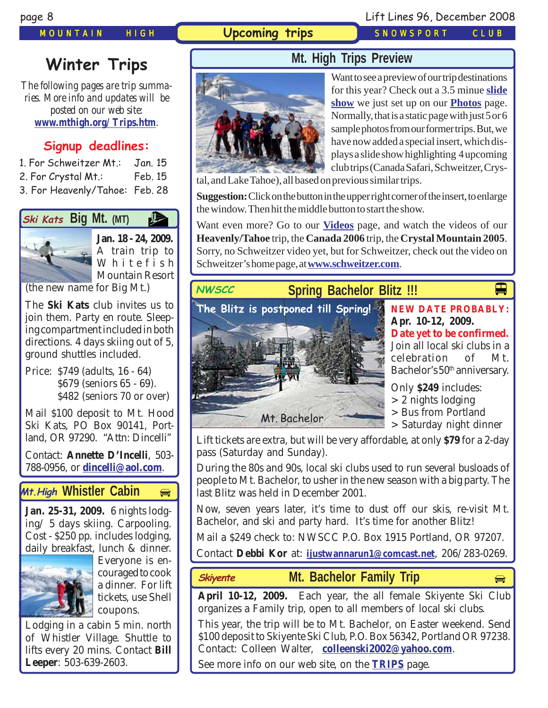#### *MOUNTAIN HIGH* **Upcoming trips** *SNOWSPORT CLUB*

# **Mt. High Trips Preview**

## **Winter Trips**

*The following pages are trip summaries. More info and updates will be posted on our web site: [www.mthigh.org/Trips.htm](http://www.mthigh.org/Trips.htm).*

## **Signup deadlines:**

|  | 1. For Schweitzer Mt.: Jan. 15 |  |  |
|--|--------------------------------|--|--|
|  |                                |  |  |

2. For Crystal Mt.: Feb. 15

3. For Heavenly/Tahoe: Feb. 28

## **Big Mt.** (MT)



**Jan. 18 - 24, 2009.** A train trip to Whitefish Mountain Resort

(the new name for Big Mt.)

The **Ski Kats** club invites us to join them. Party en route. Sleeping compartment included in both directions. 4 days skiing out of 5, ground shuttles included.

Price: \$749 (adults, 16 - 64) \$679 (seniors 65 - 69). \$482 (seniors 70 or over)

Mail \$100 deposit to Mt. Hood Ski Kats, PO Box 90141, Portland, OR 97290. "Attn: Dincelli"

Contact: **Annette D'Incelli**, 503- 788-0956, or **[dincelli@aol.com](mailto:dincelli@aol.com)**.

## **Mt.High Whistler Cabin**

**Jan. 25-31, 2009.** 6 nights lodging/ 5 days skiing. Carpooling. Cost - \$250 pp. includes lodging, daily breakfast, lunch & dinner.



Everyone is encouraged to cook a dinner. For lift tickets, use Shell coupons.

Lodging in a cabin 5 min. north of Whistler Village. Shuttle to lifts every 20 mins. Contact **Bill Leeper**: 503-639-2603.



Want to see a preview of our trip destinations for this year? Check out a 3.5 minue **[slide](http://www.mthigh.org/Photos.htm) [show](http://www.mthigh.org/Photos.htm)** we just set up on our **[Photos](http://www.mthigh.org/Photos.htm)** page. Normally, that is a static page with just 5 or 6 sample photos from our former trips. But, we have now added a special insert, which displays a slide show highlighting 4 upcoming club trips (Canada Safari, Schweitzer, Crys-

tal, and Lake Tahoe), all based on previous similar trips.

**Suggestion:** Click on the button in the upper right corner of the insert, to enlarge the window. Then hit the middle button to start the show.

Want even more? Go to our **[Videos](http://www.mthigh.org/Videos.htm)** page, and watch the videos of our **Heavenly/Tahoe** trip, the **Canada 2006** trip, the **Crystal Mountain 2005**. Sorry, no Schweitzer video yet, but for Schweitzer, check out the video on Schweitzer's home page, at **[www.schweitzer.com](http://www.schweitzer.com/)**.

**Spring Bachelor Blitz !!!**

# **NWSCC**



**NEW DATE PROBABLY: Apr. 10-12, 2009. Date yet to be confirmed.** Join all local ski clubs in a

 $\blacksquare$ 

celebration of Mt. Bachelor's 50<sup>th</sup> anniversary.

Only **\$249** includes:

- > 2 nights lodging
- > Bus from Portland
- > Saturday night dinner

Lift tickets are extra, but will be very affordable, at only **\$79** for a 2-day pass (Saturday and Sunday).

During the 80s and 90s, local ski clubs used to run several busloads of people to Mt. Bachelor, to usher in the new season with a big party. The last Blitz was held in December 2001.

Now, seven years later, it's time to dust off our skis, re-visit Mt. Bachelor, and ski and party hard. It's time for another Blitz!

Mail a \$249 check to: NWSCC P.O. Box 1915 Portland, OR 97207.

Contact **Debbi Kor** at: **[ijustwannarun1@comcast.net](mailto:Ijustwannarun1@comcast.net)**, 206/283-0269.

- **Mt. Bachelor Family Trip Skiyente** p
	-

**April 10-12, 2009.** Each year, the all female Skiyente Ski Club organizes a Family trip, open to all members of local ski clubs.

This year, the trip will be to Mt. Bachelor, on Easter weekend. Send \$100 deposit to Skiyente Ski Club, P.O. Box 56342, Portland OR 97238. Contact: Colleen Walter, **[colleenski2002@yahoo.com](mailto:colleenski2002@yahoo.com)**.

See more info on our web site, on the **[TRIPS](http://www.mthigh.org/Trips.htm)** page.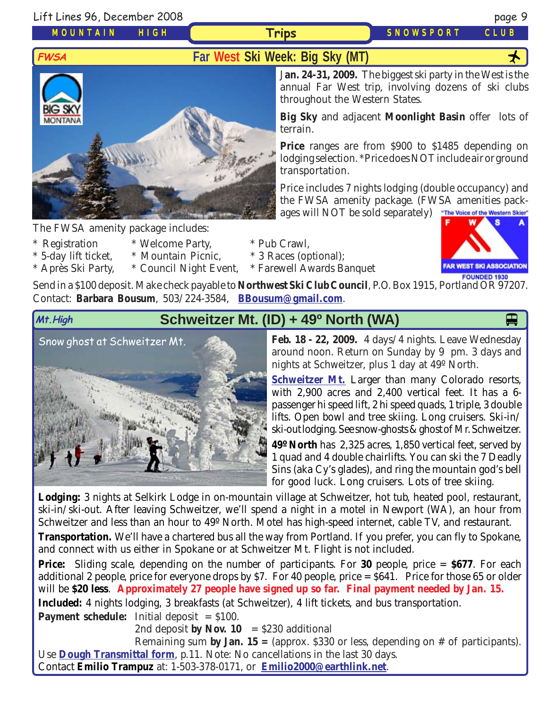Lift Lines 96, December 2008 page 9

*MOUNTAIN HIGH*

**Trips** *SNOWSPORT CLUB*

## F*WSA* **Far West Ski Week: Big Sky (MT)**



The FWSA amenity package includes:

- 
- \* Registration \* Welcome Party, \* Pub Crawl,
- \* 5-day lift ticket, \* Mountain Picnic, \* 3 Races (optional);
- \* Après Ski Party, \* Council Night Event, \* Farewell Awards Banquet

J**an. 24-31, 2009.** The biggest ski party in the West is the annual Far West trip, involving dozens of ski clubs throughout the Western States.

**Big Sky** and adjacent **Moonlight Basin** offer lots of terrain.

**Price** ranges are from \$900 to \$1485 depending on lodging selection. \*Price does NOT include air or ground transportation.

Price includes 7 nights lodging (double occupancy) and the FWSA amenity package. (FWSA amenities packages will NOT be sold separately) The Voice of the Western Skier"

**FAR WEST SKI ASSOCIATION** FOUNDED 1930

Send in a \$100 deposit. Make check payable to **Northwest Ski Club Council**, P.O. Box 1915, Portland OR 97207. Contact: **Barbara Bousum**, 503/224-3584, **[BBousum@gmail.com](mailto:BBousum@gmail.com)**.

## **Mt.High Schweitzer Mt. (ID) + 49<sup>o</sup> North (WA)**

[Snow ghost at Schweitzer Mt.](http://www.schweitzer.com/)



**Feb. 18 - 22, 2009.** 4 days/4 nights. Leave Wednesday around noon. Return on Sunday by 9 pm. 3 days and nights at Schweitzer, plus 1 day at 49º North.

**[Schweitzer Mt.](http://www.schweitzer.com/)** Larger than many Colorado resorts, with 2,900 acres and 2,400 vertical feet. It has a 6 passenger hi speed lift, 2 hi speed quads, 1 triple, 3 double lifts. Open bowl and tree skiing. Long cruisers. Ski-in/ ski-out lodging. See snow-ghosts & ghost of Mr. Schweitzer.

**49º North** has 2,325 acres, 1,850 vertical feet, served by 1 quad and 4 double chairlifts. You can ski the 7 Deadly Sins (aka Cy's glades), and ring the mountain god's bell for good luck. Long cruisers. Lots of tree skiing.

**Lodging:** 3 nights at Selkirk Lodge in on-mountain village at Schweitzer, hot tub, heated pool, restaurant, ski-in/ski-out. After leaving Schweitzer, we'll spend a night in a motel in Newport (WA), an hour from Schweitzer and less than an hour to 49º North. Motel has high-speed internet, cable TV, and restaurant.

**Transportation.** We'll have a chartered bus all the way from Portland. If you prefer, you can fly to Spokane, and connect with us either in Spokane or at Schweitzer Mt. Flight is not included.

**Price:** Sliding scale, depending on the number of participants. For **30** people, price = **\$677**. For each additional 2 people, price for everyone drops by \$7. For 40 people, price  $= $641$ . Price for those 65 or older will be **\$20 less**. **Approximately 27 people have signed up so far. Final payment needed by Jan. 15.**

**Included:** 4 nights lodging, 3 breakfasts (at Schweitzer), 4 lift tickets, and bus transportation.

**Payment schedule:** Initial deposit = \$100.

2nd deposit **by Nov. 10** =  $$230$  additional

Remaining sum **by Jan. 15 =** (approx. \$330 or less, depending on # of participants). Use **[Dough Transmittal form](http://www.mthigh.org/Documents/DOUGH%20TRANSMITTAL%20FORM.pdf)**, p.11. Note: No cancellations in the last 30 days.

Contact **Emilio Trampuz** at: 1-503-378-0171, or **[Emilio2000@earthlink.net](mailto:Emilio2000@earthlink.net)**.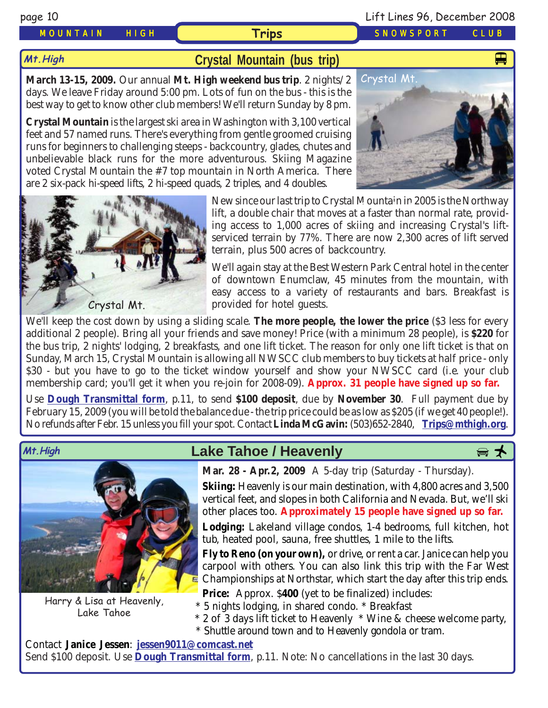**Mt.High**

#### *MOUNTAIN HIGH* **Trips** *SNOWSPORT CLUB*

#### **[Crystal Mountain \(bus trip\)](http://www.crystalmt.com/)**

**March 13-15, 2009.** Our annual **Mt. High weekend bus trip**. 2 nights/2 days. We leave Friday around 5:00 pm. Lots of fun on the bus - this is the best way to get to know other club members! We'll return Sunday by 8 pm.

**Crystal Mountain** is the largest ski area in Washington with 3,100 vertical feet and 57 named runs. There's everything from gentle groomed cruising runs for beginners to challenging steeps - backcountry, glades, chutes and unbelievable black runs for the more adventurous. Skiing Magazine voted Crystal Mountain the #7 top mountain in North America. There are 2 six-pack hi-speed lifts, 2 hi-speed quads, 2 triples, and 4 doubles.



We'll again stay at the Best Western Park Central hotel in the center of downtown Enumclaw, 45 minutes from the mountain, with easy access to a variety of restaurants and bars. Breakfast is provided for hotel guests.

We'll keep the cost down by using a sliding scale. **The more people, the lower the price** (\$3 less for every additional 2 people). Bring all your friends and save money! Price (with a minimum 28 people), is **\$220** for the bus trip, 2 nights' lodging, 2 breakfasts, and one lift ticket. The reason for only one lift ticket is that on Sunday, March 15, Crystal Mountain is allowing all NWSCC club members to buy tickets at half price - only \$30 - but you have to go to the ticket window yourself and show your NWSCC card (i.e. your club membership card; you'll get it when you re-join for 2008-09). **Approx. 31 people have signed up so far.**

Use **[Dough Transmittal form](http://www.mthigh.org/Documents/DOUGH%20TRANSMITTAL%20FORM.pdf)**, p.11, to send **\$100 deposit**, due by **November 30**. Full payment due by February 15, 2009 (you will be told the balance due - the trip price could be as low as \$205 (if we get 40 people!). No refunds after Febr. 15 unless you fill your spot. Contact **Linda McGavin:** (503)652-2840, **[Trips@mthigh.org](mailto:Trips@mthigh.org)**.



[Crystal Mt.](http://www.crystalmt.com/)

Harry & Lisa at Heavenly, Lake Tahoe

## Mt.High **Download Cake Tahoe / Heavenly**



**Mar. 28 - Apr.2, 2009** A 5-day trip (Saturday - Thursday).

**Skiing:** Heavenly is our main destination, with 4,800 acres and 3,500 vertical feet, and slopes in both California and Nevada. But, we'll ski other places too. **Approximately 15 people have signed up so far.**

**Lodging:** Lakeland village condos, 1-4 bedrooms, full kitchen, hot tub, heated pool, sauna, free shuttles, 1 mile to the lifts.

**Fly to Reno (on your own),** or drive, or rent a car. Janice can help you carpool with others. You can also link this trip with the Far West Championships at Northstar, which start the day after this trip ends.

**Price:** Approx. \$**400** (yet to be finalized) includes:

- \* 5 nights lodging, in shared condo. \* Breakfast
- \* 2 of 3 days lift ticket to Heavenly \* Wine & cheese welcome party,
- \* Shuttle around town and to Heavenly gondola or tram.

Contact **Janice Jessen**: **[jessen9011@comcast.net](mailto:jessen9011@comcast.net)** Send \$100 deposit. Use **[Dough Transmittal form](http://www.mthigh.org/Documents/DOUGH%20TRANSMITTAL%20FORM.pdf)**, p.11. Note: No cancellations in the last 30 days.

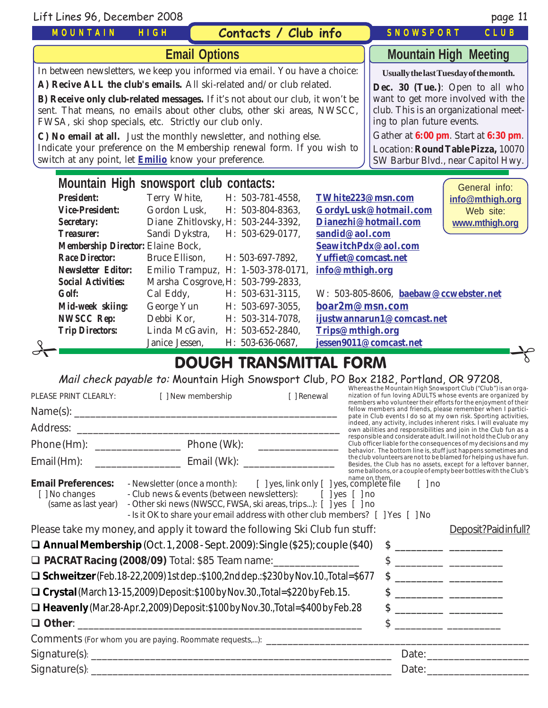| Lift Lines 96, December 2008                                                                                                                                                                                      |                       |                                    |                                        |                                       | page 11                                                                     |
|-------------------------------------------------------------------------------------------------------------------------------------------------------------------------------------------------------------------|-----------------------|------------------------------------|----------------------------------------|---------------------------------------|-----------------------------------------------------------------------------|
| <b>MOUNTAIN</b>                                                                                                                                                                                                   | HIGH                  | Contacts / Club info               |                                        | <b>SNOWSPORT</b>                      | CLUB                                                                        |
|                                                                                                                                                                                                                   | <b>Email Options</b>  |                                    |                                        |                                       | <b>Mountain High Meeting</b>                                                |
| In between newsletters, we keep you informed via email. You have a choice:                                                                                                                                        |                       |                                    | Usually the last Tuesday of the month. |                                       |                                                                             |
| A) Recive ALL the club's emails. All ski-related and/or club related.                                                                                                                                             |                       |                                    |                                        |                                       | Dec. 30 (Tue.): Open to all who                                             |
| B) Receive only club-related messages. If it's not about our club, it won't be<br>sent. That means, no emails about other clubs, other ski areas, NWSCC,<br>FWSA, ski shop specials, etc. Strictly our club only. |                       |                                    |                                        | ing to plan future events.            | want to get more involved with the<br>club. This is an organizational meet- |
| C) No email at all. Just the monthly newsletter, and nothing else.                                                                                                                                                |                       |                                    |                                        |                                       | Gather at 6:00 pm. Start at 6:30 pm.                                        |
| Indicate your preference on the Membership renewal form. If you wish to                                                                                                                                           |                       |                                    |                                        |                                       | Location: Round Table Pizza, 10070                                          |
| switch at any point, let <b>Emilio</b> know your preference.                                                                                                                                                      |                       |                                    |                                        |                                       | SW Barbur Blvd., near Capitol Hwy.                                          |
| Mountain High snowsport club contacts:                                                                                                                                                                            |                       |                                    |                                        |                                       | General info:                                                               |
| <b>President:</b>                                                                                                                                                                                                 | Terry White,          | H: 503-781-4558,                   | TWhite223@msn.com                      |                                       | info@mthigh.org                                                             |
| <b>Vice-President:</b>                                                                                                                                                                                            | Gordon Lusk,          | H: 503-804-8363,                   |                                        | GordyLusk@hotmail.com                 | Web site:                                                                   |
| Secretary:                                                                                                                                                                                                        |                       | Diane Zhitlovsky, H: 503-244-3392, | Dianezhi@hotmail.com                   |                                       | www.mthigh.org                                                              |
| <b>Treasurer:</b>                                                                                                                                                                                                 | Sandi Dykstra,        | H: 503-629-0177,                   | sandid@aol.com                         |                                       |                                                                             |
| Membership Director: Elaine Bock,                                                                                                                                                                                 |                       |                                    |                                        | SeawitchPdx@aol.com                   |                                                                             |
| <b>Race Director:</b>                                                                                                                                                                                             | <b>Bruce Ellison,</b> | H: 503-697-7892,                   | Yuffiet@comcast.net                    |                                       |                                                                             |
| <b>Newsletter Editor:</b>                                                                                                                                                                                         |                       | Emilio Trampuz, H: 1-503-378-0171, | info@mthigh.org                        |                                       |                                                                             |
| <b>Social Activities:</b>                                                                                                                                                                                         |                       | Marsha Cosgrove, H: 503-799-2833,  |                                        |                                       |                                                                             |
| <b>Golf:</b>                                                                                                                                                                                                      | Cal Eddy,             | H: 503-631-3115,                   |                                        | W: 503-805-8606, baebaw@ccwebster.net |                                                                             |
| Mid-week skiing:                                                                                                                                                                                                  | George Yun            | H: 503-697-3055,                   | boar2m@msn.com                         |                                       |                                                                             |
| <b>NWSCC Rep:</b>                                                                                                                                                                                                 | Debbi Kor,            | H: 503-314-7078,                   |                                        | ijustwannarun1@comcast.net            |                                                                             |
| <b>Trip Directors:</b>                                                                                                                                                                                            |                       | Linda McGavin, H: 503-652-2840,    | Trips@mthigh.org                       |                                       |                                                                             |
|                                                                                                                                                                                                                   | Janice Jessen,        | H: 503-636-0687,                   |                                        | jessen9011@comcast.net                |                                                                             |

### DOUGH TRANSMITTAL FORM

Mail check payable to: Mountain High Snowsport Club, PO Box 2182, Portland, OR 97208.

| PLEASE PRINT CLEARLY:                                              | [ ] New membership                                                                                                                                                                                                                                                                                          | [ ] Renewal |                      | Whereas the Mountain High Snowsport Club ("Club") is an orga-<br>nization of fun loving ADULTS whose events are organized by<br>members who volunteer their efforts for the enjoyment of their                                 |
|--------------------------------------------------------------------|-------------------------------------------------------------------------------------------------------------------------------------------------------------------------------------------------------------------------------------------------------------------------------------------------------------|-------------|----------------------|--------------------------------------------------------------------------------------------------------------------------------------------------------------------------------------------------------------------------------|
|                                                                    |                                                                                                                                                                                                                                                                                                             |             |                      | fellow members and friends, please remember when I partici-<br>pate in Club events I do so at my own risk. Sporting activities,                                                                                                |
|                                                                    |                                                                                                                                                                                                                                                                                                             |             |                      | indeed, any activity, includes inherent risks. I will evaluate my<br>own abilities and responsibilities and join in the Club fun as a                                                                                          |
|                                                                    |                                                                                                                                                                                                                                                                                                             |             |                      | responsible and considerate adult. I will not hold the Club or any<br>Club officer liable for the consequences of my decisions and my<br>behavior. The bottom line is, stuff just happens sometimes and                        |
|                                                                    | Email (Hm): ___________________________________ Email (Wk): ____________________                                                                                                                                                                                                                            |             |                      | the club volunteers are not to be blamed for helping us have fun.<br>Besides, the Club has no assets, except for a leftover banner,<br>some balloons, or a couple of empty beer bottles with the Club's                        |
| <b>Email Preferences:</b><br>[ ] No changes<br>(same as last year) | - name on them.<br>Newsletter (once a month): [ ] yes, link only [ ] yes, complete file<br>- Club news & events (between newsletters): [ ] yes [ ] no<br>- Other ski news (NWSCC, FWSA, ski areas, trips): [ ] yes [ ] no<br>- Is it OK to share your email address with other club members? [ ] Yes [ ] No |             | $\lceil$ $\rceil$ no |                                                                                                                                                                                                                                |
|                                                                    | Please take my money, and apply it toward the following Ski Club fun stuff:                                                                                                                                                                                                                                 |             |                      | Deposit?Paidinfull?                                                                                                                                                                                                            |
|                                                                    | $\Box$ Annual Membership (Oct. 1, 2008 - Sept. 2009): Single (\$25); couple (\$40)                                                                                                                                                                                                                          |             |                      |                                                                                                                                                                                                                                |
|                                                                    | □ PACRAT Racing (2008/09) Total: \$85 Team name: _________________                                                                                                                                                                                                                                          |             |                      |                                                                                                                                                                                                                                |
|                                                                    | $\Box$ Schweitzer (Feb. 18-22, 2009) 1st dep.: \$100, 2nd dep.: \$230 by Nov. 10., Total=\$677                                                                                                                                                                                                              |             |                      |                                                                                                                                                                                                                                |
|                                                                    | $\Box$ Crystal (March 13-15,2009) Deposit: \$100 by Nov.30., Total=\$220 by Feb. 15.                                                                                                                                                                                                                        |             |                      |                                                                                                                                                                                                                                |
|                                                                    | $\Box$ Heavenly (Mar.28-Apr.2,2009) Deposit: \$100 by Nov.30. Total=\$400 by Feb.28                                                                                                                                                                                                                         |             |                      |                                                                                                                                                                                                                                |
|                                                                    |                                                                                                                                                                                                                                                                                                             |             |                      |                                                                                                                                                                                                                                |
|                                                                    | Comments (For whom you are paying. Roommate requests,): _____________________                                                                                                                                                                                                                               |             |                      |                                                                                                                                                                                                                                |
|                                                                    |                                                                                                                                                                                                                                                                                                             |             |                      | Date: and the contract of the contract of the contract of the contract of the contract of the contract of the contract of the contract of the contract of the contract of the contract of the contract of the contract of the  |
|                                                                    |                                                                                                                                                                                                                                                                                                             |             |                      | Date: the contract of the contract of the contract of the contract of the contract of the contract of the contract of the contract of the contract of the contract of the contract of the contract of the contract of the cont |
|                                                                    |                                                                                                                                                                                                                                                                                                             |             |                      |                                                                                                                                                                                                                                |